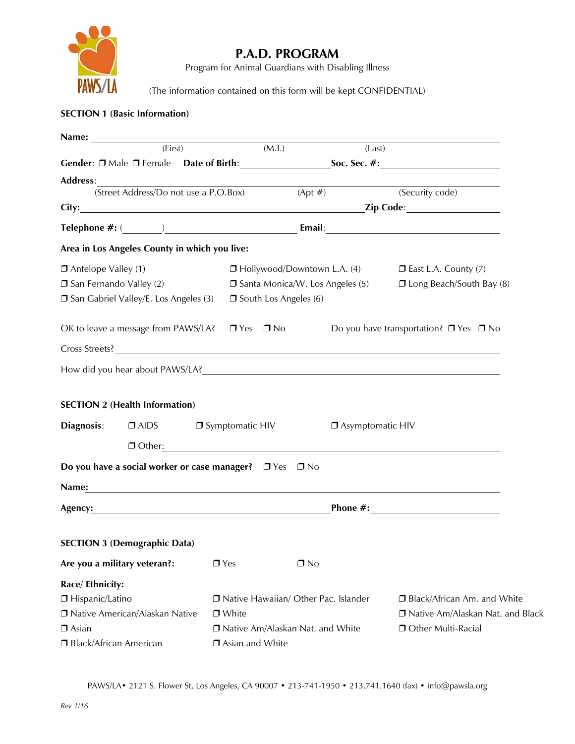

# **P.A.D. PROGRAM**

Program for Animal Guardians with Disabling Illness

(The information contained on this form will be kept CONFIDENTIAL)

## **SECTION 1 (Basic Information)**

| Name:                            |                                                         |                                        |                                    |                                           |                                    |                                                                                                                                                                                                                                |  |
|----------------------------------|---------------------------------------------------------|----------------------------------------|------------------------------------|-------------------------------------------|------------------------------------|--------------------------------------------------------------------------------------------------------------------------------------------------------------------------------------------------------------------------------|--|
|                                  | (First)                                                 |                                        |                                    | (M.l.)                                    | (Last)                             |                                                                                                                                                                                                                                |  |
|                                  |                                                         |                                        |                                    |                                           |                                    |                                                                                                                                                                                                                                |  |
| <b>Address:</b>                  |                                                         |                                        |                                    |                                           |                                    |                                                                                                                                                                                                                                |  |
|                                  | (Street Address/Do not use a P.O.Box)                   |                                        |                                    | $(Apt \#)$                                |                                    | (Security code)                                                                                                                                                                                                                |  |
|                                  |                                                         |                                        |                                    |                                           |                                    |                                                                                                                                                                                                                                |  |
|                                  |                                                         |                                        |                                    |                                           |                                    | Telephone #: ( The Contract of Contract of Contract of Contract of Contract of Contract of Contract of Contract of Contract of Contract of Contract of Contract of Contract of Contract of Contract of Contract of Contract of |  |
|                                  | Area in Los Angeles County in which you live:           |                                        |                                    |                                           |                                    |                                                                                                                                                                                                                                |  |
| Antelope Valley (1)              |                                                         |                                        |                                    |                                           | $\Box$ Hollywood/Downtown L.A. (4) | $\square$ East L.A. County (7)                                                                                                                                                                                                 |  |
| □ San Fernando Valley (2)        |                                                         |                                        |                                    | $\square$ Santa Monica/W. Los Angeles (5) |                                    | <b>I Long Beach/South Bay (8)</b>                                                                                                                                                                                              |  |
|                                  | □ San Gabriel Valley/E. Los Angeles (3)                 |                                        |                                    | $\square$ South Los Angeles (6)           |                                    |                                                                                                                                                                                                                                |  |
|                                  | OK to leave a message from PAWS/LA?                     |                                        | $\Box$ Yes $\Box$ No               |                                           |                                    | Do you have transportation? $\Box$ Yes $\Box$ No                                                                                                                                                                               |  |
|                                  |                                                         |                                        |                                    |                                           |                                    |                                                                                                                                                                                                                                |  |
|                                  |                                                         |                                        |                                    |                                           |                                    |                                                                                                                                                                                                                                |  |
|                                  |                                                         |                                        |                                    |                                           |                                    | How did you hear about PAWS/LA? Notice that the contract of the contract of the contract of the contract of the contract of the contract of the contract of the contract of the contract of the contract of the contract of th |  |
|                                  | <b>SECTION 2 (Health Information)</b>                   |                                        |                                    |                                           |                                    |                                                                                                                                                                                                                                |  |
| Diagnosis:                       | $\Box$ AIDS                                             |                                        | $\Box$ Symptomatic HIV             |                                           | □ Asymptomatic HIV                 |                                                                                                                                                                                                                                |  |
|                                  |                                                         |                                        |                                    |                                           |                                    |                                                                                                                                                                                                                                |  |
|                                  |                                                         |                                        |                                    |                                           |                                    | $\Box$ Other: $\Box$                                                                                                                                                                                                           |  |
|                                  | Do you have a social worker or case manager? □ Yes □ No |                                        |                                    |                                           |                                    |                                                                                                                                                                                                                                |  |
|                                  | Name: <u>_________________________________</u>          |                                        |                                    |                                           |                                    |                                                                                                                                                                                                                                |  |
| Agency: Agency:                  |                                                         |                                        |                                    |                                           |                                    |                                                                                                                                                                                                                                |  |
|                                  | <b>SECTION 3 (Demographic Data)</b>                     |                                        |                                    |                                           |                                    |                                                                                                                                                                                                                                |  |
|                                  | Are you a military veteran?:                            |                                        | $\Box$ Yes                         | $\Box$ No                                 |                                    |                                                                                                                                                                                                                                |  |
| Race/ Ethnicity:                 |                                                         |                                        |                                    |                                           |                                    |                                                                                                                                                                                                                                |  |
| □ Hispanic/Latino                |                                                         | □ Native Hawaiian/ Other Pac. Islander |                                    |                                           | □ Black/African Am. and White      |                                                                                                                                                                                                                                |  |
| □ Native American/Alaskan Native |                                                         |                                        | $\Box$ White                       |                                           |                                    | □ Native Am/Alaskan Nat. and Black                                                                                                                                                                                             |  |
| $\Box$ Asian                     |                                                         |                                        | □ Native Am/Alaskan Nat. and White |                                           |                                    | Other Multi-Racial                                                                                                                                                                                                             |  |
| □ Black/African American         |                                                         |                                        | □ Asian and White                  |                                           |                                    |                                                                                                                                                                                                                                |  |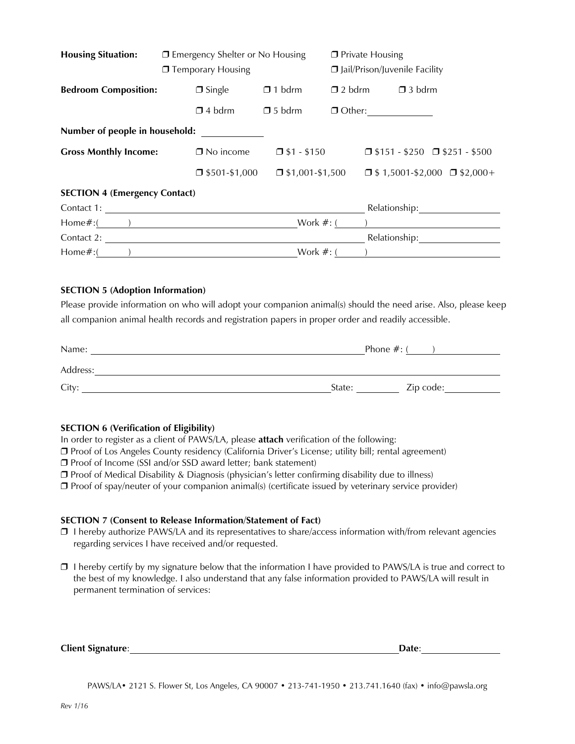| <b>Housing Situation:</b>            | □ Emergency Shelter or No Housing |                        | $\Box$ Private Housing<br>Jail/Prison/Juvenile Facility |                                           |  |  |  |
|--------------------------------------|-----------------------------------|------------------------|---------------------------------------------------------|-------------------------------------------|--|--|--|
|                                      | □ Temporary Housing               |                        |                                                         |                                           |  |  |  |
| <b>Bedroom Composition:</b>          | $\Box$ Single                     | $\Box$ 1 bdrm          | $\Box$ 2 bdrm                                           | $\Box$ 3 bdrm                             |  |  |  |
|                                      | $\Box$ 4 bdrm                     | $\Box$ 5 bdrm          |                                                         |                                           |  |  |  |
| Number of people in household:       |                                   |                        |                                                         |                                           |  |  |  |
| <b>Gross Monthly Income:</b>         | $\Box$ No income                  | $\square$ \$1 - \$150  |                                                         | $\Box$ \$151 - \$250 $\Box$ \$251 - \$500 |  |  |  |
|                                      | $\Box$ \$501-\$1,000              | $\Box$ \$1,001-\$1,500 |                                                         | $\Box$ \$1,5001-\$2,000 $\Box$ \$2,000+   |  |  |  |
| <b>SECTION 4 (Emergency Contact)</b> |                                   |                        |                                                         |                                           |  |  |  |
|                                      | Contact 1:                        |                        |                                                         | Relationship:                             |  |  |  |
| $Home\#:($ ( )                       |                                   |                        |                                                         | Work $\#$ : ( )                           |  |  |  |
| Contact 2:                           |                                   |                        |                                                         | Relationship:                             |  |  |  |
| Home $\#$ : $($                      |                                   | Work $#:$ (            |                                                         |                                           |  |  |  |

#### **SECTION 5 (Adoption Information)**

Please provide information on who will adopt your companion animal(s) should the need arise. Also, please keep all companion animal health records and registration papers in proper order and readily accessible.

| Name:    | Phone $#:$ ( |           |  |  |
|----------|--------------|-----------|--|--|
| Address: |              |           |  |  |
| City:    | State:       | Zip code: |  |  |

## **SECTION 6 (Verification of Eligibility)**

In order to register as a client of PAWS/LA, please **attach** verification of the following:

❒ Proof of Los Angeles County residency (California Driver's License; utility bill; rental agreement)

❒ Proof of Income (SSI and/or SSD award letter; bank statement)

❒ Proof of Medical Disability & Diagnosis (physician's letter confirming disability due to illness)

❒ Proof of spay/neuter of your companion animal(s) (certificate issued by veterinary service provider)

#### **SECTION 7 (Consent to Release Information/Statement of Fact)**

- ❒ I hereby authorize PAWS/LA and its representatives to share/access information with/from relevant agencies regarding services I have received and/or requested.
- ❒ I hereby certify by my signature below that the information I have provided to PAWS/LA is true and correct to the best of my knowledge. I also understand that any false information provided to PAWS/LA will result in permanent termination of services:

| <b>Client Signature:</b> | <b>Date:</b> |
|--------------------------|--------------|
|--------------------------|--------------|

PAWS/LA• 2121 S. Flower St, Los Angeles, CA 90007 • 213-741-1950 • 213.741.1640 (fax) • info@pawsla.org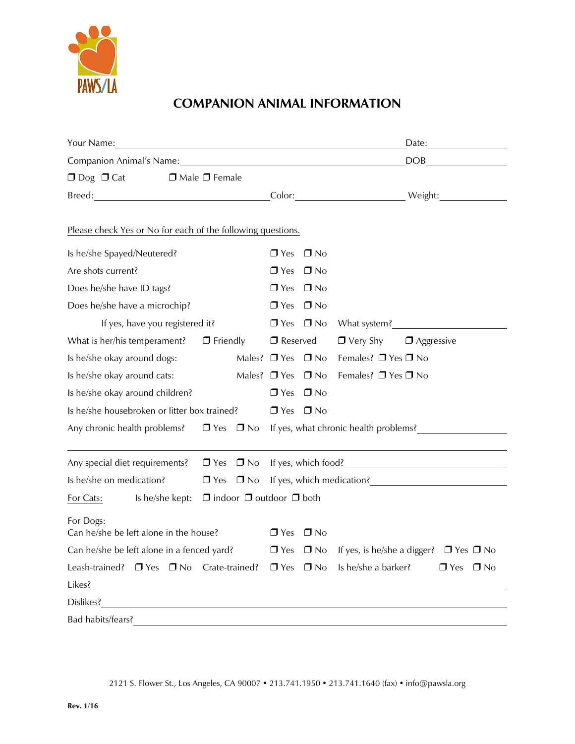

# **COMPANION ANIMAL INFORMATION**

| Your Name: 1999 - 1999 - 1999 - 1999 - 1999 - 1999 - 1999 - 1999 - 1999 - 1999 - 1999 - 1999 - 1999 - 1999 - 1                                                                                                                 |                           |  |                                                |              |                     |                   |                      |  |
|--------------------------------------------------------------------------------------------------------------------------------------------------------------------------------------------------------------------------------|---------------------------|--|------------------------------------------------|--------------|---------------------|-------------------|----------------------|--|
|                                                                                                                                                                                                                                |                           |  |                                                |              |                     |                   |                      |  |
| $\Box$ Dog $\Box$ Cat                                                                                                                                                                                                          | $\Box$ Male $\Box$ Female |  |                                                |              |                     |                   |                      |  |
| Breed: Weight: Weight: Network of the Color: Color: Network of the Weight: Network of the Color: Network of the Network of the Network of the Network of the Network of the Network of the Network of the Network of the Netwo |                           |  |                                                |              |                     |                   |                      |  |
| Please check Yes or No for each of the following questions.                                                                                                                                                                    |                           |  |                                                |              |                     |                   |                      |  |
| Is he/she Spayed/Neutered?                                                                                                                                                                                                     |                           |  | $\Box$ Yes                                     | $\Box$ No    |                     |                   |                      |  |
| Are shots current?                                                                                                                                                                                                             |                           |  |                                                | $\square$ No |                     |                   |                      |  |
| Does he/she have ID tags?                                                                                                                                                                                                      |                           |  | $\Box$ Yes                                     | $\Box$ No    |                     |                   |                      |  |
| Does he/she have a microchip?                                                                                                                                                                                                  |                           |  | $\Box$ Yes $\Box$ No                           |              |                     |                   |                      |  |
| If yes, have you registered it?                                                                                                                                                                                                |                           |  | $\Box$ Yes $\Box$ No                           |              |                     |                   |                      |  |
| What is her/his temperament? $\Box$ Friendly                                                                                                                                                                                   |                           |  | $\Box$ Reserved                                |              | $\Box$ Very Shy     | $\Box$ Aggressive |                      |  |
| Is he/she okay around dogs:                                                                                                                                                                                                    |                           |  | Males? $\Box$ Yes $\Box$ No                    |              | Females? □ Yes □ No |                   |                      |  |
| Is he/she okay around cats:                                                                                                                                                                                                    |                           |  | Males? $\Box$ Yes $\Box$ No                    |              | Females? □ Yes □ No |                   |                      |  |
| Is he/she okay around children?                                                                                                                                                                                                |                           |  | $\Box$ Yes                                     | $\Box$ No    |                     |                   |                      |  |
| Is he/she housebroken or litter box trained?                                                                                                                                                                                   |                           |  | $\Box$ Yes $\Box$ No                           |              |                     |                   |                      |  |
| Any chronic health problems?<br><u>D</u> Yes D No If yes, what chronic health problems?<br><u>D Yes D No If yes, what chronic health problems?</u>                                                                             |                           |  |                                                |              |                     |                   |                      |  |
| Any special diet requirements? $\Box$ Yes $\Box$ No If yes, which food?                                                                                                                                                        |                           |  |                                                |              |                     |                   |                      |  |
| Is he/she on medication?                                                                                                                                                                                                       |                           |  | $\Box$ Yes $\Box$ No If yes, which medication? |              |                     |                   |                      |  |
| For Cats: Is he/she kept: $\Box$ indoor $\Box$ outdoor $\Box$ both                                                                                                                                                             |                           |  |                                                |              |                     |                   |                      |  |
| For Dogs:<br>Can he/she be left alone in the house?                                                                                                                                                                            |                           |  | $\Box$ Yes $\Box$ No                           |              |                     |                   |                      |  |
| Can he/she be left alone in a fenced yard? $\Box$ Yes $\Box$ No If yes, is he/she a digger? $\Box$ Yes $\Box$ No                                                                                                               |                           |  |                                                |              |                     |                   |                      |  |
| Leash-trained? $\Box$ Yes $\Box$ No Crate-trained? $\Box$ Yes $\Box$ No Is he/she a barker?                                                                                                                                    |                           |  |                                                |              |                     |                   | $\Box$ Yes $\Box$ No |  |
|                                                                                                                                                                                                                                |                           |  |                                                |              |                     |                   |                      |  |
|                                                                                                                                                                                                                                |                           |  |                                                |              |                     |                   |                      |  |
| Bad habits/fears?                                                                                                                                                                                                              |                           |  |                                                |              |                     |                   |                      |  |